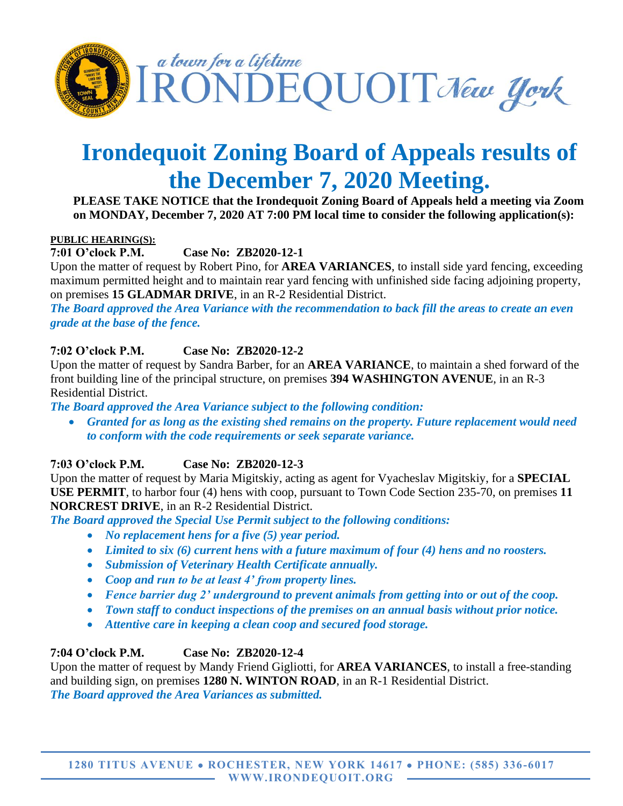

# **Irondequoit Zoning Board of Appeals results of the December 7, 2020 Meeting.**

#### **PLEASE TAKE NOTICE that the Irondequoit Zoning Board of Appeals held a meeting via Zoom on MONDAY, December 7, 2020 AT 7:00 PM local time to consider the following application(s):**

#### **PUBLIC HEARING(S):**

**7:01 O'clock P.M. Case No: ZB2020-12-1**

Upon the matter of request by Robert Pino, for **AREA VARIANCES**, to install side yard fencing, exceeding maximum permitted height and to maintain rear yard fencing with unfinished side facing adjoining property, on premises **15 GLADMAR DRIVE**, in an R-2 Residential District.

*The Board approved the Area Variance with the recommendation to back fill the areas to create an even grade at the base of the fence.*

#### **7:02 O'clock P.M. Case No: ZB2020-12-2**

Upon the matter of request by Sandra Barber, for an **AREA VARIANCE**, to maintain a shed forward of the front building line of the principal structure, on premises **394 WASHINGTON AVENUE**, in an R-3 Residential District.

*The Board approved the Area Variance subject to the following condition:*

• *Granted for as long as the existing shed remains on the property. Future replacement would need to conform with the code requirements or seek separate variance.*

## **7:03 O'clock P.M. Case No: ZB2020-12-3**

Upon the matter of request by Maria Migitskiy, acting as agent for Vyacheslav Migitskiy, for a **SPECIAL USE PERMIT**, to harbor four (4) hens with coop, pursuant to Town Code Section 235-70, on premises **11 NORCREST DRIVE**, in an R-2 Residential District.

*The Board approved the Special Use Permit subject to the following conditions:*

- *No replacement hens for a five (5) year period.*
- *Limited to six (6) current hens with a future maximum of four (4) hens and no roosters.*
- *Submission of Veterinary Health Certificate annually.*
- *Coop and run to be at least 4' from property lines.*
- *Fence barrier dug 2' underground to prevent animals from getting into or out of the coop.*
- *Town staff to conduct inspections of the premises on an annual basis without prior notice.*
- *Attentive care in keeping a clean coop and secured food storage.*

## **7:04 O'clock P.M. Case No: ZB2020-12-4**

Upon the matter of request by Mandy Friend Gigliotti, for **AREA VARIANCES**, to install a free-standing and building sign, on premises **1280 N. WINTON ROAD**, in an R-1 Residential District. *The Board approved the Area Variances as submitted.*